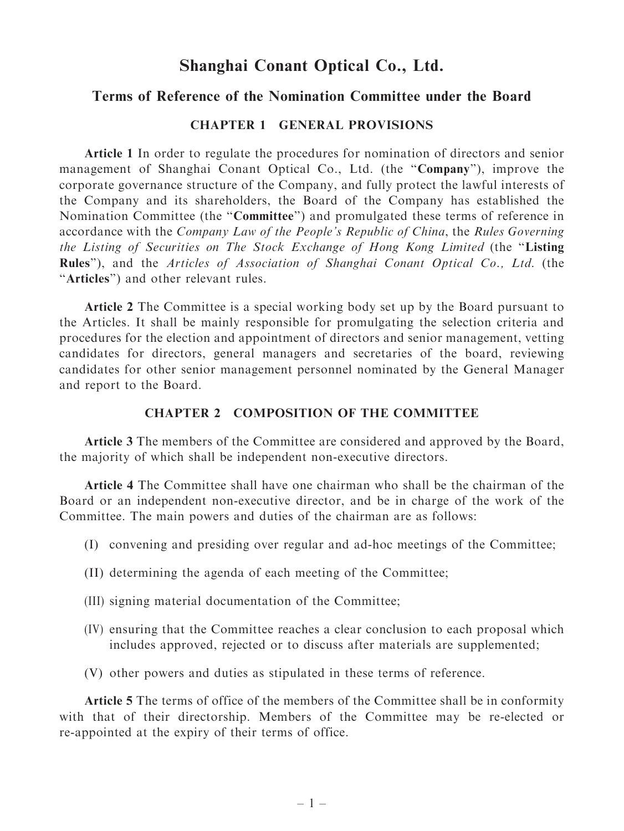# Shanghai Conant Optical Co., Ltd.

## Terms of Reference of the Nomination Committee under the Board

### CHAPTER 1 GENERAL PROVISIONS

Article 1 In order to regulate the procedures for nomination of directors and senior management of Shanghai Conant Optical Co., Ltd. (the "Company"), improve the corporate governance structure of the Company, and fully protect the lawful interests of the Company and its shareholders, the Board of the Company has established the Nomination Committee (the ''Committee'') and promulgated these terms of reference in accordance with the Company Law of the People's Republic of China, the Rules Governing the Listing of Securities on The Stock Exchange of Hong Kong Limited (the ''Listing Rules''), and the Articles of Association of Shanghai Conant Optical Co., Ltd. (the "Articles") and other relevant rules.

Article 2 The Committee is a special working body set up by the Board pursuant to the Articles. It shall be mainly responsible for promulgating the selection criteria and procedures for the election and appointment of directors and senior management, vetting candidates for directors, general managers and secretaries of the board, reviewing candidates for other senior management personnel nominated by the General Manager and report to the Board.

#### CHAPTER 2 COMPOSITION OF THE COMMITTEE

Article 3 The members of the Committee are considered and approved by the Board, the majority of which shall be independent non-executive directors.

Article 4 The Committee shall have one chairman who shall be the chairman of the Board or an independent non-executive director, and be in charge of the work of the Committee. The main powers and duties of the chairman are as follows:

- (I) convening and presiding over regular and ad-hoc meetings of the Committee;
- (II) determining the agenda of each meeting of the Committee;
- (III) signing material documentation of the Committee;
- (IV) ensuring that the Committee reaches a clear conclusion to each proposal which includes approved, rejected or to discuss after materials are supplemented;
- (V) other powers and duties as stipulated in these terms of reference.

Article 5 The terms of office of the members of the Committee shall be in conformity with that of their directorship. Members of the Committee may be re-elected or re-appointed at the expiry of their terms of office.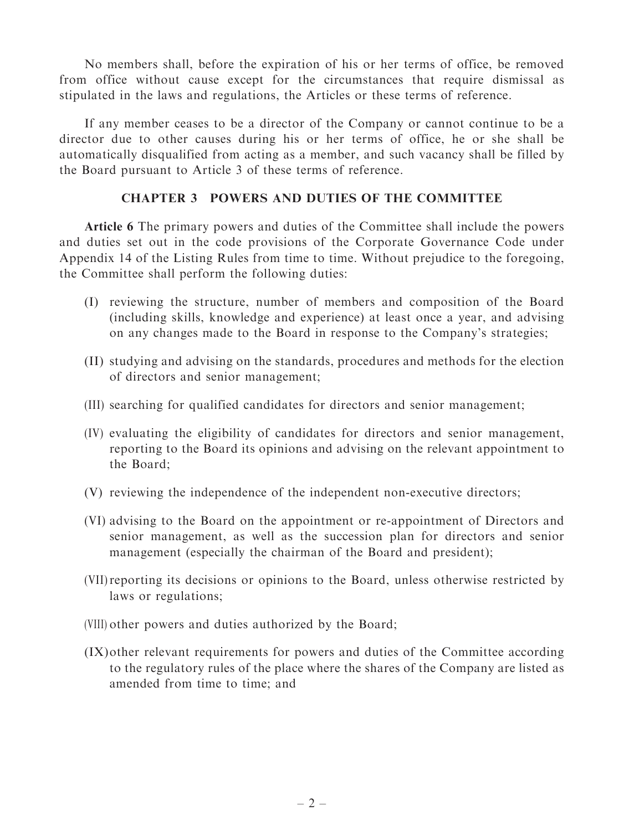No members shall, before the expiration of his or her terms of office, be removed from office without cause except for the circumstances that require dismissal as stipulated in the laws and regulations, the Articles or these terms of reference.

If any member ceases to be a director of the Company or cannot continue to be a director due to other causes during his or her terms of office, he or she shall be automatically disqualified from acting as a member, and such vacancy shall be filled by the Board pursuant to Article 3 of these terms of reference.

## CHAPTER 3 POWERS AND DUTIES OF THE COMMITTEE

Article 6 The primary powers and duties of the Committee shall include the powers and duties set out in the code provisions of the Corporate Governance Code under Appendix 14 of the Listing Rules from time to time. Without prejudice to the foregoing, the Committee shall perform the following duties:

- (I) reviewing the structure, number of members and composition of the Board (including skills, knowledge and experience) at least once a year, and advising on any changes made to the Board in response to the Company's strategies;
- (II) studying and advising on the standards, procedures and methods for the election of directors and senior management;
- (III) searching for qualified candidates for directors and senior management;
- (IV) evaluating the eligibility of candidates for directors and senior management, reporting to the Board its opinions and advising on the relevant appointment to the Board;
- (V) reviewing the independence of the independent non-executive directors;
- (VI) advising to the Board on the appointment or re-appointment of Directors and senior management, as well as the succession plan for directors and senior management (especially the chairman of the Board and president);
- (VII)reporting its decisions or opinions to the Board, unless otherwise restricted by laws or regulations;
- (VIII) other powers and duties authorized by the Board;
- (IX)other relevant requirements for powers and duties of the Committee according to the regulatory rules of the place where the shares of the Company are listed as amended from time to time; and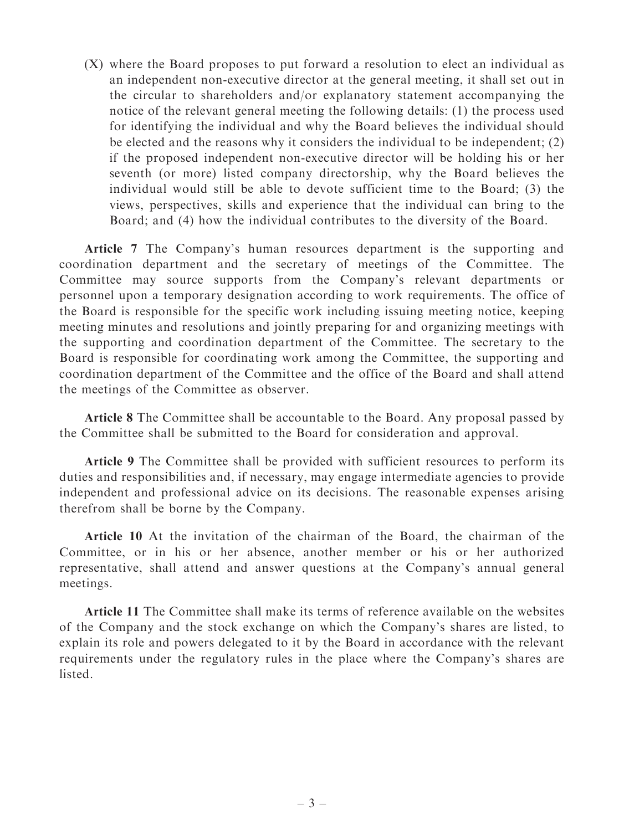(X) where the Board proposes to put forward a resolution to elect an individual as an independent non-executive director at the general meeting, it shall set out in the circular to shareholders and/or explanatory statement accompanying the notice of the relevant general meeting the following details: (1) the process used for identifying the individual and why the Board believes the individual should be elected and the reasons why it considers the individual to be independent; (2) if the proposed independent non-executive director will be holding his or her seventh (or more) listed company directorship, why the Board believes the individual would still be able to devote sufficient time to the Board; (3) the views, perspectives, skills and experience that the individual can bring to the Board; and (4) how the individual contributes to the diversity of the Board.

Article 7 The Company's human resources department is the supporting and coordination department and the secretary of meetings of the Committee. The Committee may source supports from the Company's relevant departments or personnel upon a temporary designation according to work requirements. The office of the Board is responsible for the specific work including issuing meeting notice, keeping meeting minutes and resolutions and jointly preparing for and organizing meetings with the supporting and coordination department of the Committee. The secretary to the Board is responsible for coordinating work among the Committee, the supporting and coordination department of the Committee and the office of the Board and shall attend the meetings of the Committee as observer.

Article 8 The Committee shall be accountable to the Board. Any proposal passed by the Committee shall be submitted to the Board for consideration and approval.

Article 9 The Committee shall be provided with sufficient resources to perform its duties and responsibilities and, if necessary, may engage intermediate agencies to provide independent and professional advice on its decisions. The reasonable expenses arising therefrom shall be borne by the Company.

Article 10 At the invitation of the chairman of the Board, the chairman of the Committee, or in his or her absence, another member or his or her authorized representative, shall attend and answer questions at the Company's annual general meetings.

Article 11 The Committee shall make its terms of reference available on the websites of the Company and the stock exchange on which the Company's shares are listed, to explain its role and powers delegated to it by the Board in accordance with the relevant requirements under the regulatory rules in the place where the Company's shares are listed.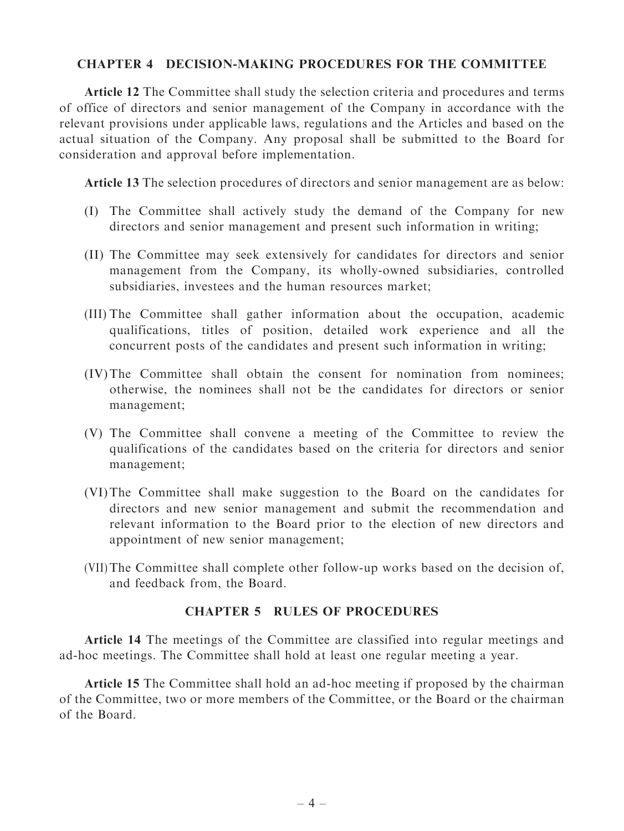## CHAPTER 4 DECISION-MAKING PROCEDURES FOR THE COMMITTEE

Article 12 The Committee shall study the selection criteria and procedures and terms of office of directors and senior management of the Company in accordance with the relevant provisions under applicable laws, regulations and the Articles and based on the actual situation of the Company. Any proposal shall be submitted to the Board for consideration and approval before implementation.

Article 13 The selection procedures of directors and senior management are as below:

- (I) The Committee shall actively study the demand of the Company for new directors and senior management and present such information in writing;
- (II) The Committee may seek extensively for candidates for directors and senior management from the Company, its wholly-owned subsidiaries, controlled subsidiaries, investees and the human resources market;
- (III) The Committee shall gather information about the occupation, academic qualifications, titles of position, detailed work experience and all the concurrent posts of the candidates and present such information in writing;
- (IV)The Committee shall obtain the consent for nomination from nominees; otherwise, the nominees shall not be the candidates for directors or senior management;
- (V) The Committee shall convene a meeting of the Committee to review the qualifications of the candidates based on the criteria for directors and senior management;
- (VI)The Committee shall make suggestion to the Board on the candidates for directors and new senior management and submit the recommendation and relevant information to the Board prior to the election of new directors and appointment of new senior management;
- (VII) The Committee shall complete other follow-up works based on the decision of, and feedback from, the Board.

## CHAPTER 5 RULES OF PROCEDURES

Article 14 The meetings of the Committee are classified into regular meetings and ad-hoc meetings. The Committee shall hold at least one regular meeting a year.

Article 15 The Committee shall hold an ad-hoc meeting if proposed by the chairman of the Committee, two or more members of the Committee, or the Board or the chairman of the Board.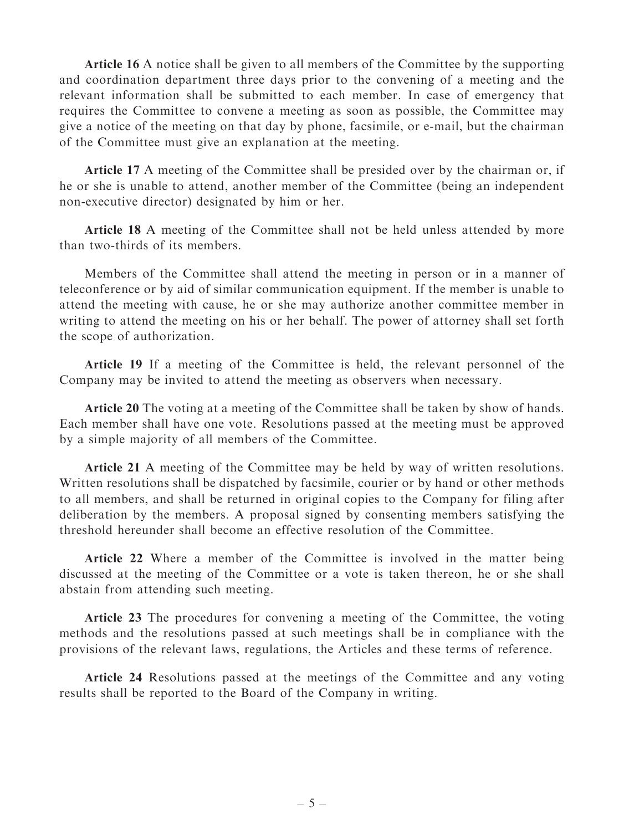Article 16 A notice shall be given to all members of the Committee by the supporting and coordination department three days prior to the convening of a meeting and the relevant information shall be submitted to each member. In case of emergency that requires the Committee to convene a meeting as soon as possible, the Committee may give a notice of the meeting on that day by phone, facsimile, or e-mail, but the chairman of the Committee must give an explanation at the meeting.

Article 17 A meeting of the Committee shall be presided over by the chairman or, if he or she is unable to attend, another member of the Committee (being an independent non-executive director) designated by him or her.

Article 18 A meeting of the Committee shall not be held unless attended by more than two-thirds of its members.

Members of the Committee shall attend the meeting in person or in a manner of teleconference or by aid of similar communication equipment. If the member is unable to attend the meeting with cause, he or she may authorize another committee member in writing to attend the meeting on his or her behalf. The power of attorney shall set forth the scope of authorization.

Article 19 If a meeting of the Committee is held, the relevant personnel of the Company may be invited to attend the meeting as observers when necessary.

Article 20 The voting at a meeting of the Committee shall be taken by show of hands. Each member shall have one vote. Resolutions passed at the meeting must be approved by a simple majority of all members of the Committee.

Article 21 A meeting of the Committee may be held by way of written resolutions. Written resolutions shall be dispatched by facsimile, courier or by hand or other methods to all members, and shall be returned in original copies to the Company for filing after deliberation by the members. A proposal signed by consenting members satisfying the threshold hereunder shall become an effective resolution of the Committee.

Article 22 Where a member of the Committee is involved in the matter being discussed at the meeting of the Committee or a vote is taken thereon, he or she shall abstain from attending such meeting.

Article 23 The procedures for convening a meeting of the Committee, the voting methods and the resolutions passed at such meetings shall be in compliance with the provisions of the relevant laws, regulations, the Articles and these terms of reference.

Article 24 Resolutions passed at the meetings of the Committee and any voting results shall be reported to the Board of the Company in writing.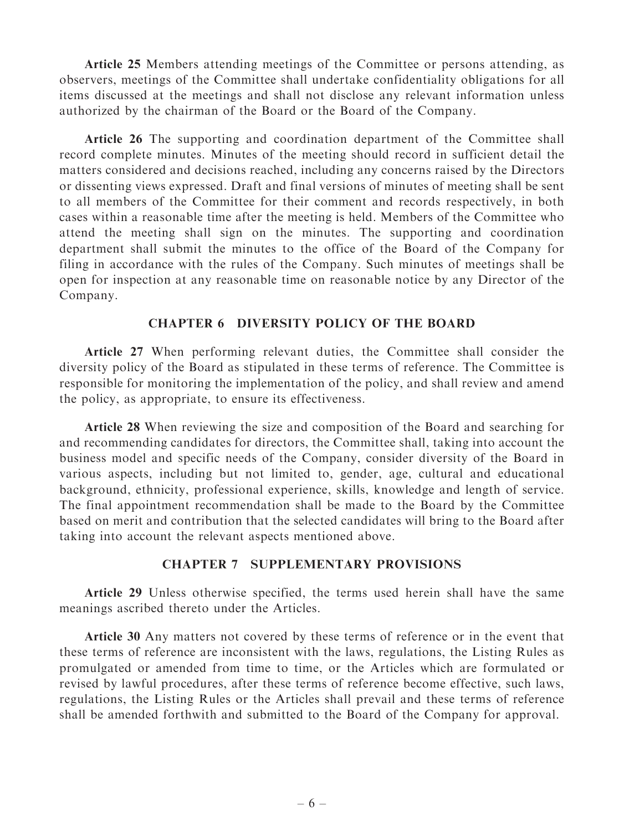Article 25 Members attending meetings of the Committee or persons attending, as observers, meetings of the Committee shall undertake confidentiality obligations for all items discussed at the meetings and shall not disclose any relevant information unless authorized by the chairman of the Board or the Board of the Company.

Article 26 The supporting and coordination department of the Committee shall record complete minutes. Minutes of the meeting should record in sufficient detail the matters considered and decisions reached, including any concerns raised by the Directors or dissenting views expressed. Draft and final versions of minutes of meeting shall be sent to all members of the Committee for their comment and records respectively, in both cases within a reasonable time after the meeting is held. Members of the Committee who attend the meeting shall sign on the minutes. The supporting and coordination department shall submit the minutes to the office of the Board of the Company for filing in accordance with the rules of the Company. Such minutes of meetings shall be open for inspection at any reasonable time on reasonable notice by any Director of the Company.

#### CHAPTER 6 DIVERSITY POLICY OF THE BOARD

Article 27 When performing relevant duties, the Committee shall consider the diversity policy of the Board as stipulated in these terms of reference. The Committee is responsible for monitoring the implementation of the policy, and shall review and amend the policy, as appropriate, to ensure its effectiveness.

Article 28 When reviewing the size and composition of the Board and searching for and recommending candidates for directors, the Committee shall, taking into account the business model and specific needs of the Company, consider diversity of the Board in various aspects, including but not limited to, gender, age, cultural and educational background, ethnicity, professional experience, skills, knowledge and length of service. The final appointment recommendation shall be made to the Board by the Committee based on merit and contribution that the selected candidates will bring to the Board after taking into account the relevant aspects mentioned above.

#### CHAPTER 7 SUPPLEMENTARY PROVISIONS

Article 29 Unless otherwise specified, the terms used herein shall have the same meanings ascribed thereto under the Articles.

Article 30 Any matters not covered by these terms of reference or in the event that these terms of reference are inconsistent with the laws, regulations, the Listing Rules as promulgated or amended from time to time, or the Articles which are formulated or revised by lawful procedures, after these terms of reference become effective, such laws, regulations, the Listing Rules or the Articles shall prevail and these terms of reference shall be amended forthwith and submitted to the Board of the Company for approval.